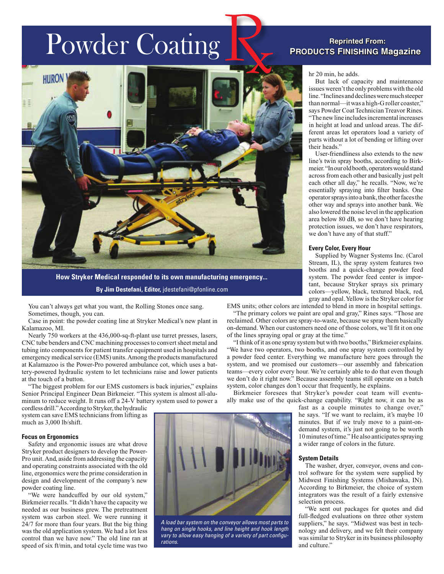# Powder Coating



**By Jim Destefani, Editor,** jdestefani@pfonline.com

You can't always get what you want, the Rolling Stones once sang. Sometimes, though, you can.

Case in point: the powder coating line at Stryker Medical's new plant in Kalamazoo, MI.

Nearly 750 workers at the 436,000-sq-ft-plant use turret presses, lasers, CNC tube benders and CNC machining processes to convert sheet metal and tubing into components for patient transfer equipment used in hospitals and emergency medical service (EMS) units. Among the products manufactured at Kalamazoo is the Power-Pro powered ambulance cot, which uses a battery-powered hydraulic system to let technicians raise and lower patients at the touch of a button.

"The biggest problem for our EMS customers is back injuries," explains Senior Principal Engineer Dean Birkmeier. "This system is almost all-aluminum to reduce weight. It runs off a 24-V battery system used to power a

cordless drill." According to Stryker, the hydraulic system can save EMS technicians from lifting as much as 3,000 lb/shift.

#### **Focus on Ergonomics**

Safety and ergonomic issues are what drove Stryker product designers to develop the Power-Pro unit. And, aside from addressing the capacity and operating constraints associated with the old line, ergonomics were the prime consideration in design and development of the company's new powder coating line.

"We were handcuffed by our old system," Birkmeier recalls. "It didn't have the capacity we needed as our business grew. The pretreatment system was carbon steel. We were running it 24/7 for more than four years. But the big thing was the old application system. We had a lot less control than we have now." The old line ran at speed of six ft/min, and total cycle time was two



*A load bar system on the conveyor allows most parts to hang on single hooks, and line height and hook length vary to allow easy hanging of a variety of part configurations.* 

## **Products Finishing Magazine Reprinted From:**

hr 20 min, he adds.

But lack of capacity and maintenance issues weren't the only problems with the old line. "Inclines and declines were much steeper than normal—it was a high-G roller coaster," says Powder Coat Technician Treavor Rines. "The new line includes incremental increases in height at load and unload areas. The different areas let operators load a variety of parts without a lot of bending or lifting over their heads."

User-friendliness also extends to the new line's twin spray booths, according to Birkmeier. "In our old booth, operators would stand across from each other and basically just pelt each other all day," he recalls. "Now, we're essentially spraying into filter banks. One operator sprays into a bank, the other faces the other way and sprays into another bank. We also lowered the noise level in the application area below 80 dB, so we don't have hearing protection issues, we don't have respirators, we don't have any of that stuff."

#### **Every Color, Every Hour**

Supplied by Wagner Systems Inc. (Carol Stream, IL), the spray system features two booths and a quick-change powder feed system. The powder feed center is important, because Stryker sprays six primary colors—yellow, black, textured black, red, gray and opal. Yellow is the Stryker color for

EMS units; other colors are intended to blend in more in hospital settings. "The primary colors we paint are opal and gray," Rines says. "Those are

reclaimed. Other colors are spray-to-waste, because we spray them basically on-demand. When our customers need one of those colors, we'll fit it on one of the lines spraying opal or gray at the time."

"I think of it as one spray system but with two booths," Birkmeier explains. "We have two operators, two booths, and one spray system controlled by a powder feed center. Everything we manufacture here goes through the system, and we promised our customers—our assembly and fabrication teams—every color every hour. We're certainly able to do that even though we don't do it right now." Because assembly teams still operate on a batch system, color changes don't occur that frequently, he explains.

Birkmeier foresees that Stryker's powder coat team will eventually make use of the quick-change capability. "Right now, it can be as

> fast as a couple minutes to change over," he says. "If we want to reclaim, it's maybe 10 minutes. But if we truly move to a paint-ondemand system, it's just not going to be worth 10 minutes of time." He also anticipates spraying a wider range of colors in the future.

### **System Details**

The washer, dryer, conveyor, ovens and control software for the system were supplied by Midwest Finishing Systems (Mishawaka, IN). According to Birkmeier, the choice of system integrators was the result of a fairly extensive selection process.

"We sent out packages for quotes and did full-fledged evaluations on three other system suppliers," he says. "Midwest was best in technology and delivery, and we felt their company was similar to Stryker in its business philosophy and culture."